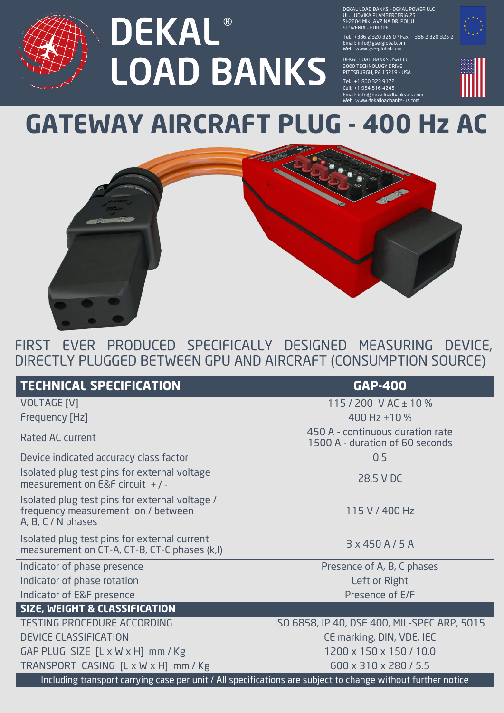

DEKAL LOAD BANKS - DEKAL POWER LLC UL. LUDVIKA PLAMBERGERJA 25 SI-2204 MIKLAVZ NA DR. POLJU SLOVENIA - EUROPE

Tel.: + 386 2 320 325 0 \* Fax: + 386 2 320 325 2 Email: info@gse-global.com Web: www.gse-global.com

DEKAL LOAD BANKS USA LLC 2000 TECHNOLUGY DRIVE PITTSBURGH, PA 15219 - USA

Tel.: +1 800 323 9172 Cell: + 1 954 516 4245 Email: info@dekalloadbanks-us.com Web: www.dekalloadbanks-us.com

## **GATEWAY AIRCRAFT PLUG - 400 Hz AC**



FIRST EVER PRODUCED SPECIFICALLY DESIGNED MEASURING DEVICE, DIRECTLY PLUGGED BETWEEN GPU AND AIRCRAFT (CONSUMPTION SOURCE)

| <b>TECHNICAL SPECIFICATION</b>                                                                               | <b>GAP-400</b>                                                      |
|--------------------------------------------------------------------------------------------------------------|---------------------------------------------------------------------|
| <b>VOLTAGE [V]</b>                                                                                           | 115/200 V AC $\pm$ 10 %                                             |
| Frequency [Hz]                                                                                               | 400 Hz $\pm$ 10 %                                                   |
| <b>Rated AC current</b>                                                                                      | 450 A - continuous duration rate<br>1500 A - duration of 60 seconds |
| Device indicated accuracy class factor                                                                       | 0.5                                                                 |
| Isolated plug test pins for external voltage<br>measurement on E&F circuit $+/-$                             | 28.5 V DC                                                           |
| Isolated plug test pins for external voltage /<br>frequency measurement on / between<br>A, B, C / N phases   | 115 V / 400 Hz                                                      |
| Isolated plug test pins for external current<br>measurement on CT-A, CT-B, CT-C phases (k,l)                 | $3 \times 450$ A / 5 A                                              |
| Indicator of phase presence                                                                                  | Presence of A, B, C phases                                          |
| Indicator of phase rotation                                                                                  | Left or Right                                                       |
| Indicator of E&F presence                                                                                    | Presence of E/F                                                     |
| <b>SIZE, WEIGHT &amp; CLASSIFICATION</b>                                                                     |                                                                     |
| <b>TESTING PROCEDURE ACCORDING</b>                                                                           | ISO 6858, IP 40, DSF 400, MIL-SPEC ARP, 5015                        |
| <b>DEVICE CLASSIFICATION</b>                                                                                 | CE marking, DIN, VDE, IEC                                           |
| GAP PLUG SIZE $[L \times W \times H]$ mm / Kg                                                                | 1200 x 150 x 150 / 10.0                                             |
| TRANSPORT CASING [L x W x H] mm / Kg                                                                         | 600 x 310 x 280 / 5.5                                               |
| Including transport carrying case per unit / All specifications are subject to change without further notice |                                                                     |